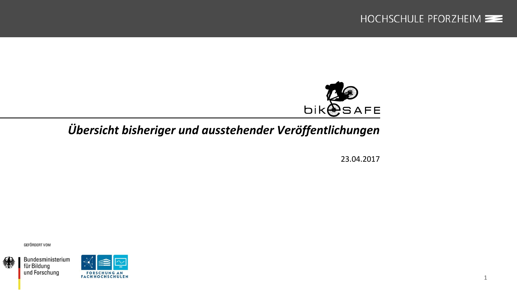

1



# *Übersicht bisheriger und ausstehender Veröffentlichungen*

23.04.2017

GEFÖRDERT VOM



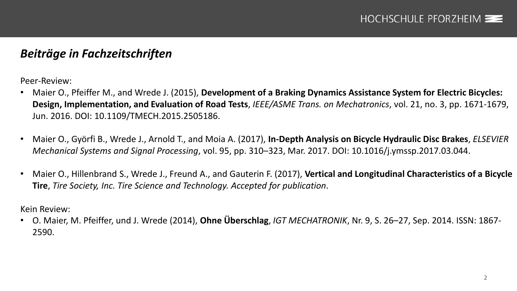### *Beiträge in Fachzeitschriften*

Peer-Review:

- Maier O., Pfeiffer M., and Wrede J. (2015), **Development of a Braking Dynamics Assistance System for Electric Bicycles: Design, Implementation, and Evaluation of Road Tests**, *IEEE/ASME Trans. on Mechatronics*, vol. 21, no. 3, pp. 1671-1679, Jun. 2016. DOI: 10.1109/TMECH.2015.2505186.
- Maier O., Györfi B., Wrede J., Arnold T., and Moia A. (2017), **In-Depth Analysis on Bicycle Hydraulic Disc Brakes**, *ELSEVIER Mechanical Systems and Signal Processing*, vol. 95, pp. 310–323, Mar. 2017. DOI: 10.1016/j.ymssp.2017.03.044.
- Maier O., Hillenbrand S., Wrede J., Freund A., and Gauterin F. (2017), **Vertical and Longitudinal Characteristics of a Bicycle Tire**, *Tire Society, Inc. Tire Science and Technology. Accepted for publication*.

Kein Review:

• O. Maier, M. Pfeiffer, und J. Wrede (2014), **Ohne Überschlag**, *IGT MECHATRONIK*, Nr. 9, S. 26–27, Sep. 2014. ISSN: 1867- 2590.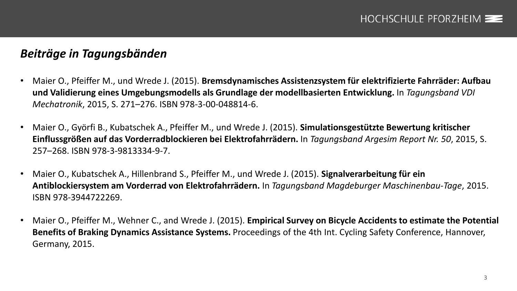## *Beiträge in Tagungsbänden*

- Maier O., Pfeiffer M., und Wrede J. (2015). **Bremsdynamisches Assistenzsystem für elektrifizierte Fahrräder: Aufbau und Validierung eines Umgebungsmodells als Grundlage der modellbasierten Entwicklung.** In *Tagungsband VDI Mechatronik*, 2015, S. 271–276. ISBN 978-3-00-048814-6.
- Maier O., Györfi B., Kubatschek A., Pfeiffer M., und Wrede J. (2015). **Simulationsgestützte Bewertung kritischer Einflussgrößen auf das Vorderradblockieren bei Elektrofahrrädern.** In *Tagungsband Argesim Report Nr. 50*, 2015, S. 257–268. ISBN 978-3-9813334-9-7.
- Maier O., Kubatschek A., Hillenbrand S., Pfeiffer M., und Wrede J. (2015). **Signalverarbeitung für ein Antiblockiersystem am Vorderrad von Elektrofahrrädern.** In *Tagungsband Magdeburger Maschinenbau-Tage*, 2015. ISBN 978-3944722269.
- Maier O., Pfeiffer M., Wehner C., and Wrede J. (2015). **Empirical Survey on Bicycle Accidents to estimate the Potential Benefits of Braking Dynamics Assistance Systems.** Proceedings of the 4th Int. Cycling Safety Conference, Hannover, Germany, 2015.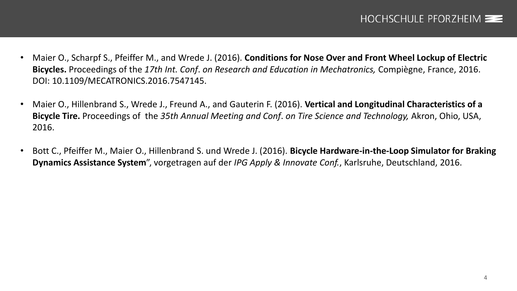- Maier O., Scharpf S., Pfeiffer M., and Wrede J. (2016). **Conditions for Nose Over and Front Wheel Lockup of Electric Bicycles.** Proceedings of the *17th Int. Conf*. *on Research and Education in Mechatronics,* Compiègne, France, 2016. DOI: 10.1109/MECATRONICS.2016.7547145.
- Maier O., Hillenbrand S., Wrede J., Freund A., and Gauterin F. (2016). **Vertical and Longitudinal Characteristics of a Bicycle Tire.** Proceedings of the *35th Annual Meeting and Conf*. *on Tire Science and Technology,* Akron, Ohio, USA, 2016.
- Bott C., Pfeiffer M., Maier O., Hillenbrand S. und Wrede J. (2016). **Bicycle Hardware-in-the-Loop Simulator for Braking Dynamics Assistance System**", vorgetragen auf der *IPG Apply & Innovate Conf.*, Karlsruhe, Deutschland, 2016.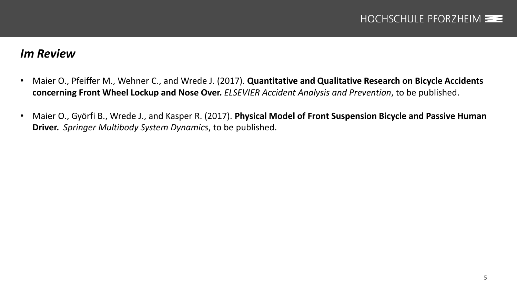#### *Im Review*

- Maier O., Pfeiffer M., Wehner C., and Wrede J. (2017). **Quantitative and Qualitative Research on Bicycle Accidents concerning Front Wheel Lockup and Nose Over.** *ELSEVIER Accident Analysis and Prevention*, to be published.
- Maier O., Györfi B., Wrede J., and Kasper R. (2017). **Physical Model of Front Suspension Bicycle and Passive Human Driver.** *Springer Multibody System Dynamics*, to be published.